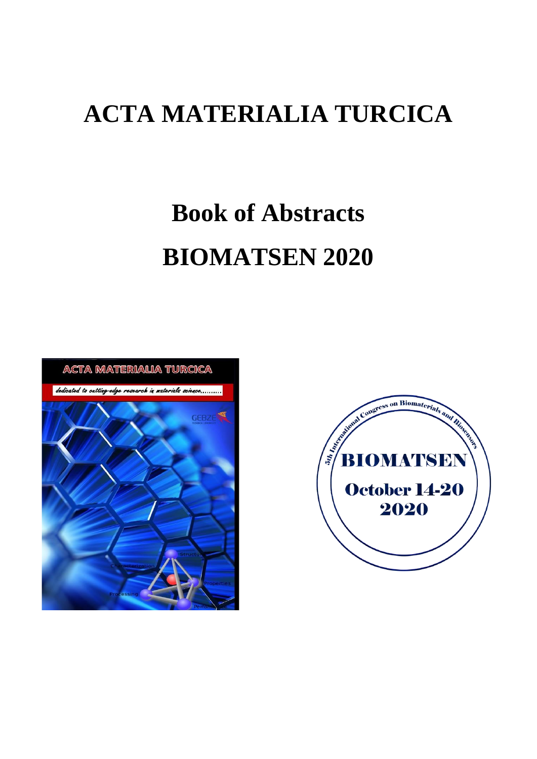# **ACTA MATERIALIA TURCICA**

# **Book of Abstracts BIOMATSEN 2020**



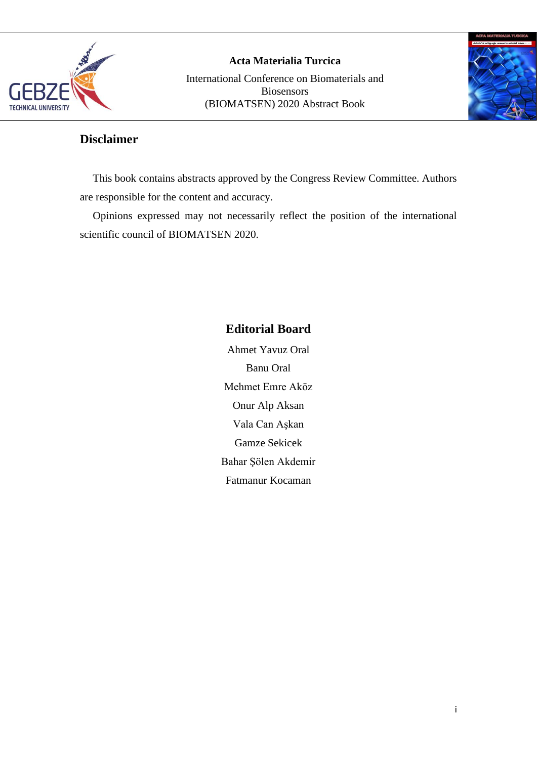

International Conference on Biomaterials and **Biosensors** (BIOMATSEN) 2020 Abstract Book



#### **Disclaimer**

This book contains abstracts approved by the Congress Review Committee. Authors are responsible for the content and accuracy.

Opinions expressed may not necessarily reflect the position of the international scientific council of BIOMATSEN 2020.

#### **Editorial Board**

Ahmet Yavuz Oral Banu Oral Mehmet Emre Aköz Onur Alp Aksan Vala Can Aşkan Gamze Sekicek Bahar Şölen Akdemir Fatmanur Kocaman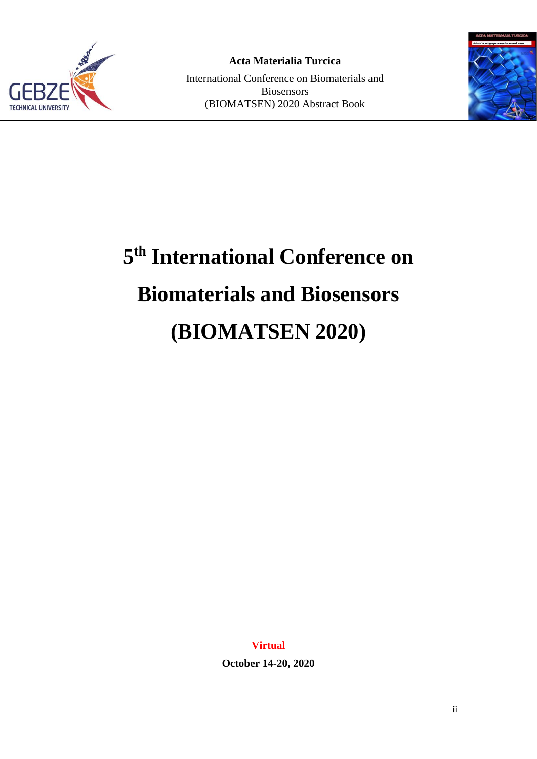

**Acta Materialia Turcica** International Conference on Biomaterials and **Biosensors** (BIOMATSEN) 2020 Abstract Book



# **5 th International Conference on Biomaterials and Biosensors (BIOMATSEN 2020)**

**Virtual October 14-20, 2020**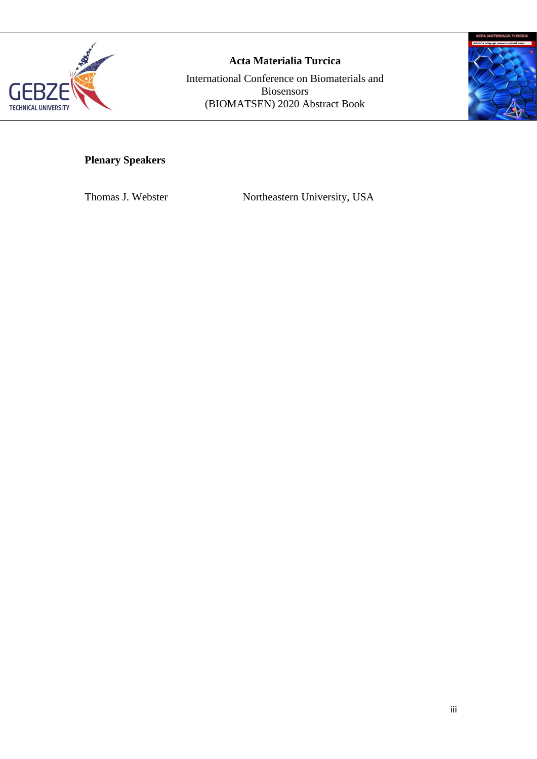

International Conference on Biomaterials and **Biosensors** (BIOMATSEN) 2020 Abstract Book



#### **Plenary Speakers**

Thomas J. Webster Northeastern University, USA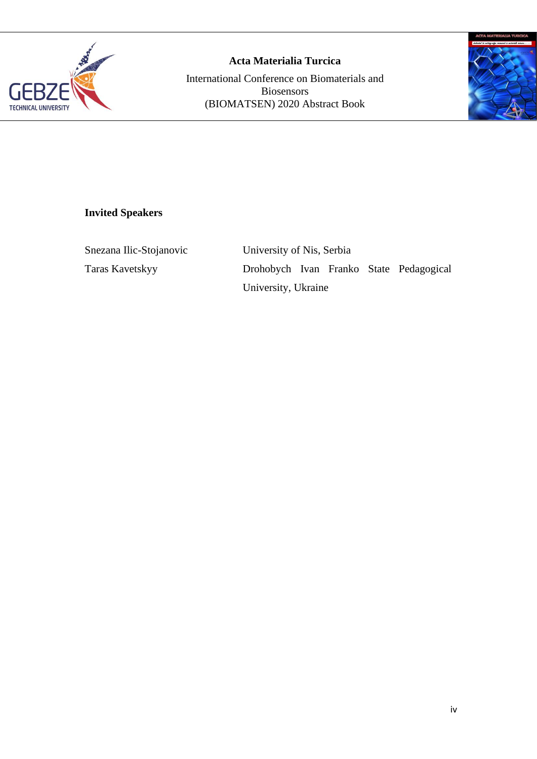

International Conference on Biomaterials and **Biosensors** (BIOMATSEN) 2020 Abstract Book



#### **Invited Speakers**

Snezana Ilic-Stojanovic University of Nis, Serbia Taras Kavetskyy Drohobych Ivan Franko State Pedagogical University, Ukraine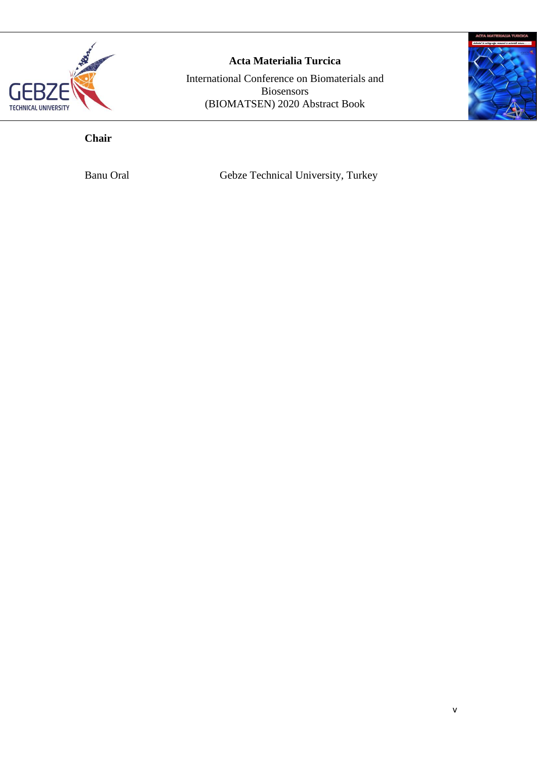

International Conference on Biomaterials and **Biosensors** (BIOMATSEN) 2020 Abstract Book

#### **Chair**

Banu Oral Gebze Technical University, Turkey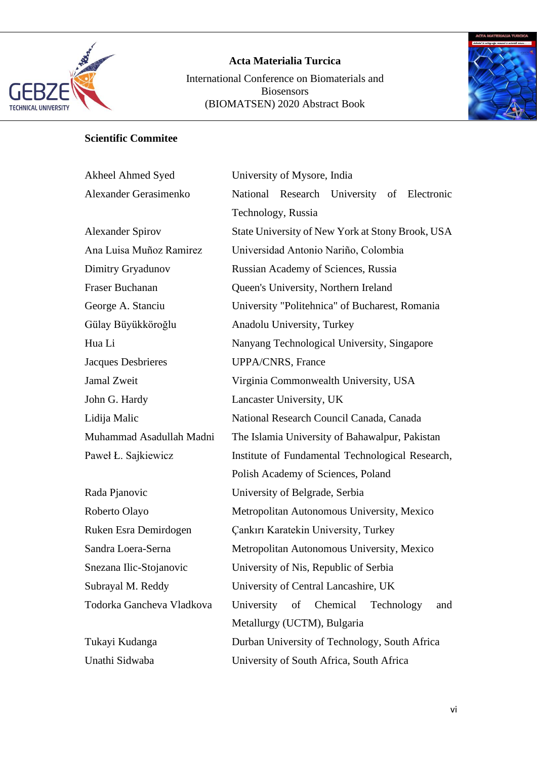

International Conference on Biomaterials and **Biosensors** (BIOMATSEN) 2020 Abstract Book



#### **Scientific Commitee**

| Akheel Ahmed Syed         | University of Mysore, India                      |  |
|---------------------------|--------------------------------------------------|--|
| Alexander Gerasimenko     | National Research University of Electronic       |  |
|                           | Technology, Russia                               |  |
| <b>Alexander Spirov</b>   | State University of New York at Stony Brook, USA |  |
| Ana Luisa Muñoz Ramirez   | Universidad Antonio Nariño, Colombia             |  |
| Dimitry Gryadunov         | Russian Academy of Sciences, Russia              |  |
| Fraser Buchanan           | Queen's University, Northern Ireland             |  |
| George A. Stanciu         | University "Politehnica" of Bucharest, Romania   |  |
| Gülay Büyükköroğlu        | Anadolu University, Turkey                       |  |
| Hua Li                    | Nanyang Technological University, Singapore      |  |
| Jacques Desbrieres        | <b>UPPA/CNRS, France</b>                         |  |
| Jamal Zweit               | Virginia Commonwealth University, USA            |  |
| John G. Hardy             | Lancaster University, UK                         |  |
| Lidija Malic              | National Research Council Canada, Canada         |  |
| Muhammad Asadullah Madni  | The Islamia University of Bahawalpur, Pakistan   |  |
| Paweł Ł. Sajkiewicz       | Institute of Fundamental Technological Research, |  |
|                           | Polish Academy of Sciences, Poland               |  |
| Rada Pjanovic             | University of Belgrade, Serbia                   |  |
| Roberto Olayo             | Metropolitan Autonomous University, Mexico       |  |
| Ruken Esra Demirdogen     | Çankırı Karatekin University, Turkey             |  |
| Sandra Loera-Serna        | Metropolitan Autonomous University, Mexico       |  |
| Snezana Ilic-Stojanovic   | University of Nis, Republic of Serbia            |  |
| Subrayal M. Reddy         | University of Central Lancashire, UK             |  |
| Todorka Gancheva Vladkova | Chemical Technology<br>University of<br>and      |  |
|                           | Metallurgy (UCTM), Bulgaria                      |  |
| Tukayi Kudanga            | Durban University of Technology, South Africa    |  |
| Unathi Sidwaba            | University of South Africa, South Africa         |  |
|                           |                                                  |  |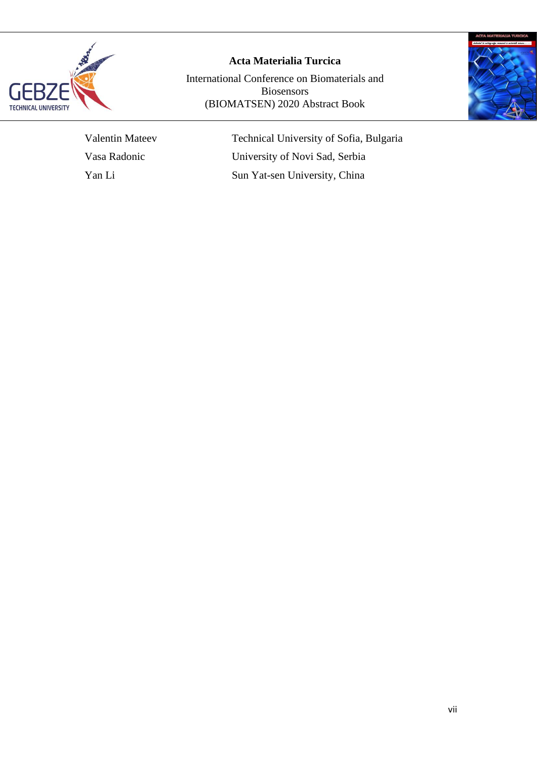

International Conference on Biomaterials and **Biosensors** (BIOMATSEN) 2020 Abstract Book



Valentin Mateev Technical University of Sofia, Bulgaria Vasa Radonic University of Novi Sad, Serbia Yan Li Sun Yat-sen University, China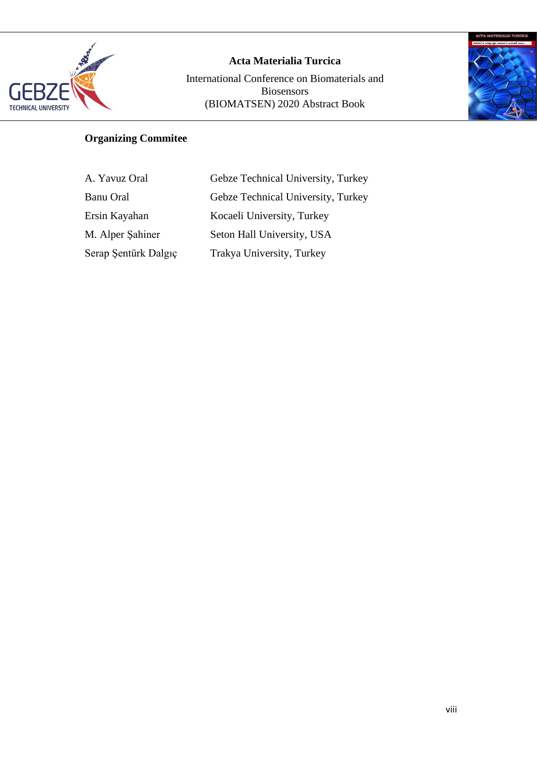

International Conference on Biomaterials and Biosensors (BIOMATSEN) 2020 Abstract Book



### **Organizing Commitee**

| A. Yavuz Oral        | Gebze Technical University, Turkey |
|----------------------|------------------------------------|
| <b>Banu Oral</b>     | Gebze Technical University, Turkey |
| Ersin Kayahan        | Kocaeli University, Turkey         |
| M. Alper Sahiner     | Seton Hall University, USA         |
| Serap Şentürk Dalgıç | Trakya University, Turkey          |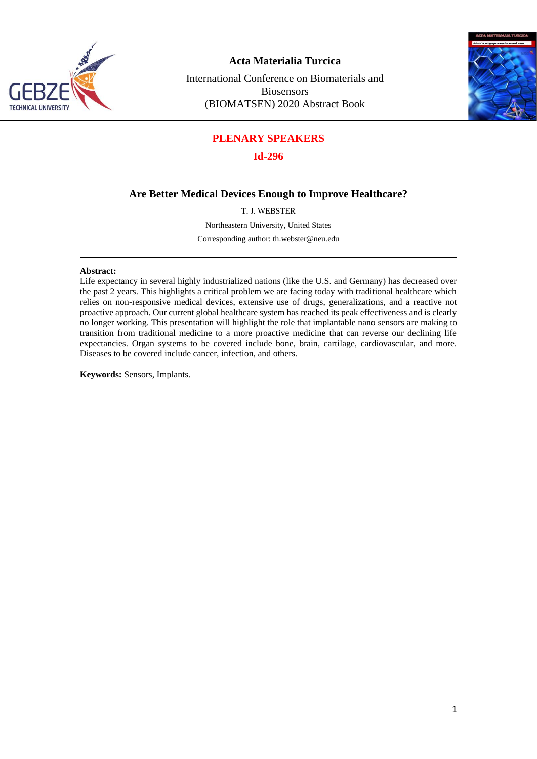

International Conference on Biomaterials and **Biosensors** (BIOMATSEN) 2020 Abstract Book



#### **PLENARY SPEAKERS**

**Id-296**

#### **Are Better Medical Devices Enough to Improve Healthcare?**

T. J. WEBSTER

Northeastern University, United States

Corresponding author: th.webster@neu.edu

#### **Abstract:**

Life expectancy in several highly industrialized nations (like the U.S. and Germany) has decreased over the past 2 years. This highlights a critical problem we are facing today with traditional healthcare which relies on non-responsive medical devices, extensive use of drugs, generalizations, and a reactive not proactive approach. Our current global healthcare system has reached its peak effectiveness and is clearly no longer working. This presentation will highlight the role that implantable nano sensors are making to transition from traditional medicine to a more proactive medicine that can reverse our declining life expectancies. Organ systems to be covered include bone, brain, cartilage, cardiovascular, and more. Diseases to be covered include cancer, infection, and others.

**Keywords:** Sensors, Implants.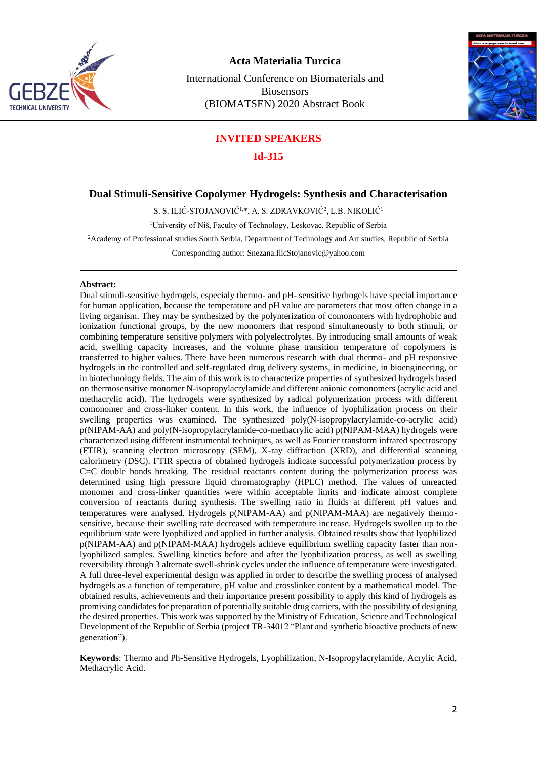

International Conference on Biomaterials and **Biosensors** (BIOMATSEN) 2020 Abstract Book



#### **INVITED SPEAKERS**

**Id-315**

#### **Dual [Stimuli-Sensitive Copolymer Hydrogels](https://pubs.acs.org/doi/abs/10.1021/ma101437k): Synthesis and Characterisation**

S. S. ILIĆ-STOJANOVIĆ<sup>1,</sup>\*, A. S. ZDRAVKOVIĆ<sup>2</sup>, L.B. NIKOLIĆ<sup>1</sup>

<sup>1</sup>University of Niš, Faculty of Technology, Leskovac, Republic of Serbia

<sup>2</sup>Academy of Professional studies South Serbia, Department of Technology and Art studies, Republic of Serbia

Corresponding author: Snezana.IlicStojanovic@yahoo.com

#### **Abstract:**

Dual stimuli-sensitive hydrogels, especialy thermo- and pH- sensitive hydrogels have special importance for human application, because the temperature and pH value are parameters that most often change in a living organism. They may be synthesized by the polymerization of comonomers with hydrophobic and ionization functional groups, by the new monomers that respond simultaneously to both stimuli, or combining temperature sensitive polymers with polyelectrolytes. By introducing small amounts of weak acid, swelling capacity increases, and the volume phase transition temperature of copolymers is transferred to higher values. There have been numerous research with dual thermo- and pH responsive hydrogels in the controlled and self-regulated drug delivery systems, in medicine, in bioengineering, or in biotechnology fields. The aim of this work is to characterize properties of synthesized hydrogels based on thermosensitive monomer N-isopropylacrylamide and different anionic comonomers (acrylic acid and methacrylic acid). The hydrogels were synthesized by radical polymerization process with different comonomer and cross-linker content. In this work, the influence of lyophilization process on their swelling properties was examined. The synthesized poly(N-isopropylacrylamide-co-acrylic acid) p(NIPAM-AA) and poly(N-isopropylacrylamide-co-methacrylic acid) p(NIPAM-MAA) hydrogels were characterized using different instrumental techniques, as well as Fourier transform infrared spectroscopy (FTIR), scanning electron microscopy (SEM), X-ray diffraction (XRD), and differential scanning calorimetry (DSC). FTIR spectra of obtained hydrogels indicate successful polymerization process by C=C double bonds breaking. The residual reactants content during the polymerization process was determined using high pressure liquid chromatography (HPLC) method. The values of unreacted monomer and cross-linker quantities were within acceptable limits and indicate almost complete conversion of reactants during synthesis. The swelling ratio in fluids at different pH values and temperatures were analysed. Hydrogels p(NIPAM-AA) and p(NIPAM-MAA) are negatively thermosensitive, because their swelling rate decreased with temperature increase. Hydrogels swollen up to the equilibrium state were lyophilized and applied in further analysis. Obtained results show that lyophilized p(NIPAM-AA) and p(NIPAM-MAA) hydrogels achieve equilibrium swelling capacity faster than nonlyophilized samples. Swelling kinetics before and after the lyophilization process, as well as swelling reversibility through 3 alternate swell-shrink cycles under the influence of temperature were investigated. A full three-level experimental design was applied in order to describe the swelling process of analysed hydrogels as a function of temperature, pH value and crosslinker content by a mathematical model. The obtained results, achievements and their importance present possibility to apply this kind of hydrogels as promising candidates for preparation of potentially suitable drug carriers, with the possibility of designing the desired properties. This work was supported by the Ministry of Education, Science and Technological Development of the Republic of Serbia (project TR-34012 "Plant and synthetic bioactive products of new generation").

**Keywords**: Thermo and Ph-Sensitive Hydrogels, Lyophilization, N-Isopropylacrylamide, Acrylic Acid, Methacrylic Acid.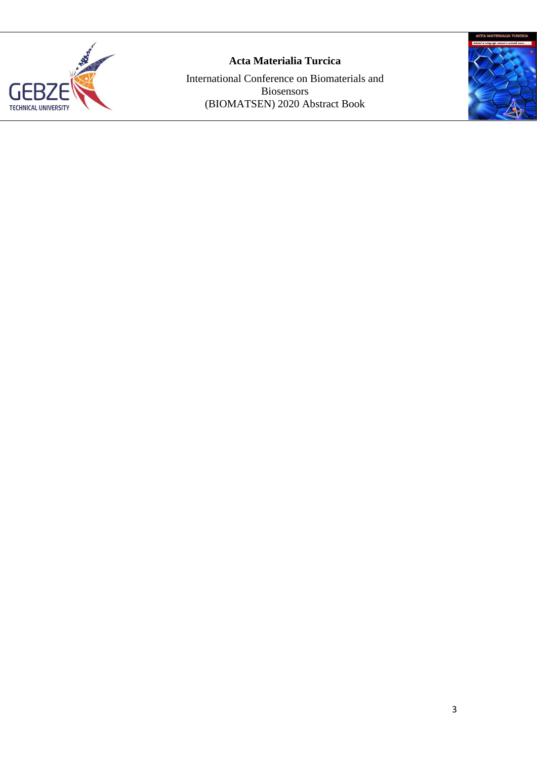

International Conference on Biomaterials and **Biosensors** (BIOMATSEN) 2020 Abstract Book

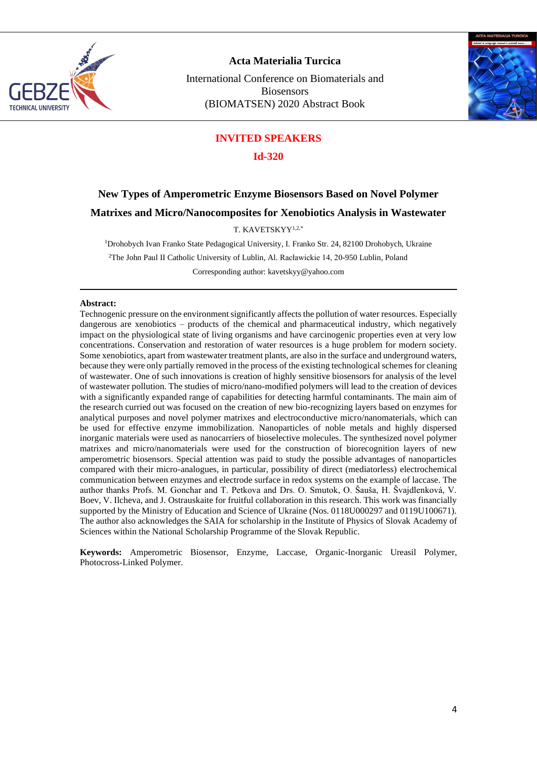

International Conference on Biomaterials and **Biosensors** (BIOMATSEN) 2020 Abstract Book



#### **INVITED SPEAKERS**

#### **Id-320**

### **New Types of Amperometric Enzyme Biosensors Based on Novel Polymer**

**Matrixes and Micro/Nanocomposites for Xenobiotics Analysis in Wastewater**

T. KAVETSKYY1,2,\*

<sup>1</sup>Drohobych Ivan Franko State Pedagogical University, I. Franko Str. 24, 82100 Drohobych, Ukraine <sup>2</sup>The John Paul II Catholic University of Lublin, Al. Racławickie 14, 20-950 Lublin, Poland

Corresponding author: kavetskyy@yahoo.com

#### **Abstract:**

Technogenic pressure on the environment significantly affects the pollution of water resources. Especially dangerous are xenobiotics – products of the chemical and pharmaceutical industry, which negatively impact on the physiological state of living organisms and have carcinogenic properties even at very low concentrations. Conservation and restoration of water resources is a huge problem for modern society. Some xenobiotics, apart from wastewater treatment plants, are also in the surface and underground waters, because they were only partially removed in the process of the existing technological schemes for cleaning of wastewater. One of such innovations is creation of highly sensitive biosensors for analysis of the level of wastewater pollution. The studies of micro/nano-modified polymers will lead to the creation of devices with a significantly expanded range of capabilities for detecting harmful contaminants. The main aim of the research curried out was focused on the creation of new bio-recognizing layers based on enzymes for analytical purposes and novel polymer matrixes and electroconductive micro/nanomaterials, which can be used for effective enzyme immobilization. Nanoparticles of noble metals and highly dispersed inorganic materials were used as nanocarriers of bioselective molecules. The synthesized novel polymer matrixes and micro/nanomaterials were used for the construction of biorecognition layers of new amperometric biosensors. Special attention was paid to study the possible advantages of nanoparticles compared with their micro-analogues, in particular, possibility of direct (mediatorless) electrochemical communication between enzymes and electrode surface in redox systems on the example of laccase. The author thanks Profs. M. Gonchar and T. Petkova and Drs. O. Smutok, O. Šauša, H. Švajdlenková, V. Boev, V. Ilcheva, and J. Ostrauskaite for fruitful collaboration in this research. This work was financially supported by the Ministry of Education and Science of Ukraine (Nos. 0118U000297 and 0119U100671). The author also acknowledges the SAIA for scholarship in the Institute of Physics of Slovak Academy of Sciences within the National Scholarship Programme of the Slovak Republic.

**Keywords:** Amperometric Biosensor, Enzyme, Laccase, Organic-Inorganic Ureasil Polymer, Photocross-Linked Polymer.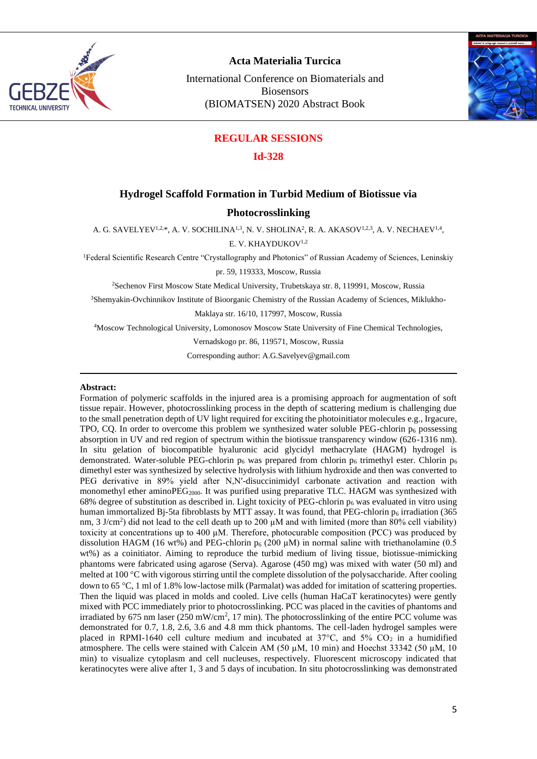

International Conference on Biomaterials and **Biosensors** (BIOMATSEN) 2020 Abstract Book



#### **REGULAR SESSIONS**

#### **Id-328**

#### **Hydrogel Scaffold Formation in Turbid Medium of Biotissue via**

#### **Photocrosslinking**

A. G. SAVELYEV<sup>1,2,\*</sup>, A. V. SOCHILINA<sup>1,3</sup>, N. V. SHOLINA<sup>2</sup>, R. A. AKASOV<sup>1,2,3</sup>, A. V. NECHAEV<sup>1,4</sup>, E. V. KHAYDUKOV<sup>1,2</sup>

<sup>1</sup>Federal Scientific Research Centre "Crystallography and Photonics" of Russian Academy of Sciences, Leninskiy

pr. 59, 119333, Moscow, Russia

<sup>2</sup>Sechenov First Moscow State Medical University, Trubetskaya str. 8, 119991, Moscow, Russia

3Shemyakin-Ovchinnikov Institute of Bioorganic Chemistry of the Russian Academy of Sciences, Miklukho-

Maklaya str. 16/10, 117997, Moscow, Russia

<sup>4</sup>Moscow Technological University, Lomonosov Moscow State University of Fine Chemical Technologies,

Vernadskogo pr. 86, 119571, Moscow, Russia

Corresponding author: A.G.Savelyev@gmail.com

#### **Abstract:**

Formation of polymeric scaffolds in the injured area is a promising approach for augmentation of soft tissue repair. However, photocrosslinking process in the depth of scattering medium is challenging due to the small penetration depth of UV light required for exciting the photoinitiator molecules e.g., Irgacure, TPO, CQ. In order to overcome this problem we synthesized water soluble PEG-chlorin  $p_6$  possessing absorption in UV and red region of spectrum within the biotissue transparency window (626-1316 nm). In situ gelation of biocompatible hyaluronic acid glycidyl methacrylate (HAGM) hydrogel is demonstrated. Water-soluble PEG-chlorin  $p_6$  was prepared from chlorin  $p_6$  trimethyl ester. Chlorin  $p_6$ dimethyl ester was synthesized by selective hydrolysis with lithium hydroxide and then was converted to PEG derivative in 89% yield after N,N′-disuccinimidyl carbonate activation and reaction with monomethyl ether amino $PEG_{2000}$ . It was purified using preparative TLC. HAGM was synthesized with 68% degree of substitution as described in. Light toxicity of PEG-chlorin  $p_6$  was evaluated in vitro using human immortalized Bj-5ta fibroblasts by MTT assay. It was found, that PEG-chlorin  $p_6$  irradiation (365) nm, 3 J/cm<sup>2</sup>) did not lead to the cell death up to 200  $\mu$ M and with limited (more than 80% cell viability) toxicity at concentrations up to 400 µM. Therefore, photocurable composition (PCC) was produced by dissolution HAGM (16 wt%) and PEG-chlorin  $p_6$  (200 µM) in normal saline with triethanolamine (0.5 wt%) as a coinitiator. Aiming to reproduce the turbid medium of living tissue, biotissue-mimicking phantoms were fabricated using agarose (Serva). Agarose (450 mg) was mixed with water (50 ml) and melted at 100  $^{\circ}$ C with vigorous stirring until the complete dissolution of the polysaccharide. After cooling down to 65 °C, 1 ml of 1.8% low-lactose milk (Parmalat) was added for imitation of scattering properties. Then the liquid was placed in molds and cooled. Live cells (human HaCaT keratinocytes) were gently mixed with PCC immediately prior to photocrosslinking. PCC was placed in the cavities of phantoms and irradiated by 675 nm laser  $(250 \text{ mW/cm}^2, 17 \text{ min})$ . The photocrosslinking of the entire PCC volume was demonstrated for 0.7, 1.8, 2.6, 3.6 and 4.8 mm thick phantoms. The cell-laden hydrogel samples were placed in RPMI-1640 cell culture medium and incubated at  $37^{\circ}$ C, and  $5\%$  CO<sub>2</sub> in a humidified atmosphere. The cells were stained with Calcein AM (50  $\mu$ M, 10 min) and Hoechst 33342 (50  $\mu$ M, 10 min) to visualize cytoplasm and cell nucleuses, respectively. Fluorescent microscopy indicated that keratinocytes were alive after 1, 3 and 5 days of incubation. In situ photocrosslinking was demonstrated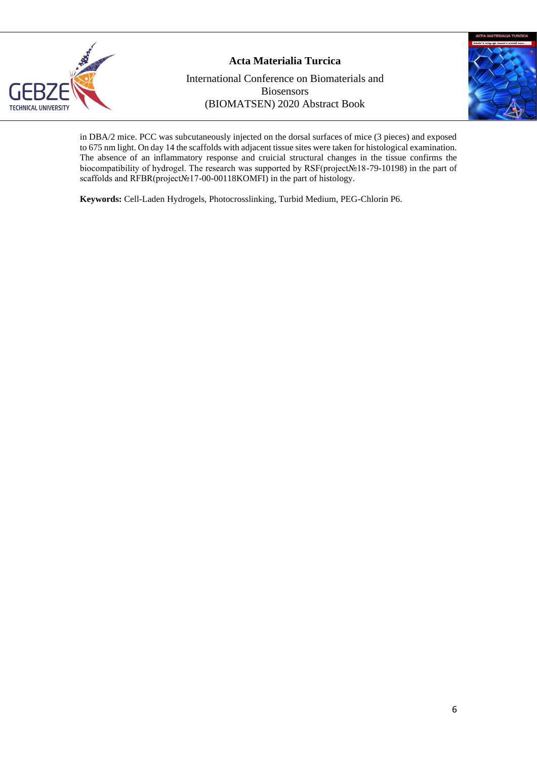

International Conference on Biomaterials and **Biosensors** (BIOMATSEN) 2020 Abstract Book



in DBA/2 mice. PCC was subcutaneously injected on the dorsal surfaces of mice (3 pieces) and exposed to 675 nm light. On day 14 the scaffolds with adjacent tissue sites were taken for histological examination. The absence of an inflammatory response and cruicial structural changes in the tissue confirms the biocompatibility of hydrogel. The research was supported by RSF(project№18-79-10198) in the part of scaffolds and RFBR(project№17-00-00118KOMFI) in the part of histology.

**Keywords:** Cell-Laden Hydrogels, Photocrosslinking, Turbid Medium, PEG-Chlorin P6.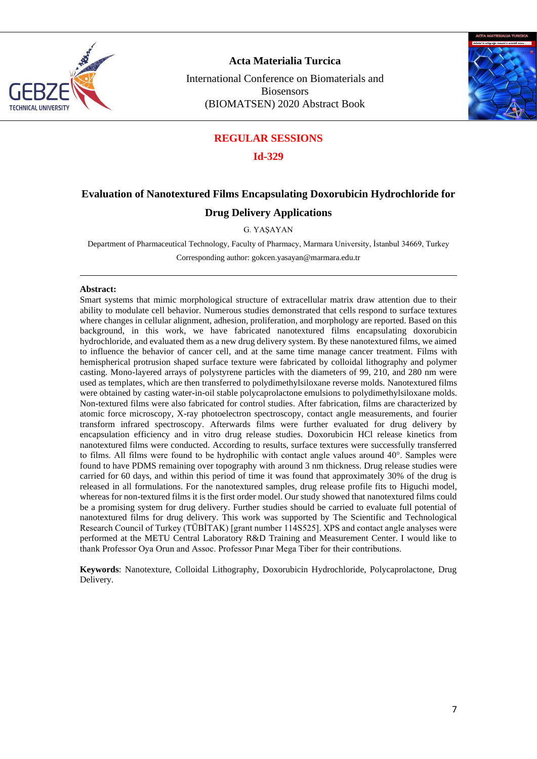

International Conference on Biomaterials and **Biosensors** (BIOMATSEN) 2020 Abstract Book



#### **REGULAR SESSIONS**

#### **Id-329**

## **Evaluation of Nanotextured Films Encapsulating Doxorubicin Hydrochloride for**

#### **Drug Delivery Applications**

G. YAŞAYAN

Department of Pharmaceutical Technology, Faculty of Pharmacy, Marmara University, İstanbul 34669, Turkey

Corresponding author: gokcen.yasayan@marmara.edu.tr

#### **Abstract:**

Smart systems that mimic morphological structure of extracellular matrix draw attention due to their ability to modulate cell behavior. Numerous studies demonstrated that cells respond to surface textures where changes in cellular alignment, adhesion, proliferation, and morphology are reported. Based on this background, in this work, we have fabricated nanotextured films encapsulating doxorubicin hydrochloride, and evaluated them as a new drug delivery system. By these nanotextured films, we aimed to influence the behavior of cancer cell, and at the same time manage cancer treatment. Films with hemispherical protrusion shaped surface texture were fabricated by colloidal lithography and polymer casting. Mono-layered arrays of polystyrene particles with the diameters of 99, 210, and 280 nm were used as templates, which are then transferred to polydimethylsiloxane reverse molds. Nanotextured films were obtained by casting water-in-oil stable polycaprolactone emulsions to polydimethylsiloxane molds. Non-textured films were also fabricated for control studies. After fabrication, films are characterized by atomic force microscopy, X-ray photoelectron spectroscopy, contact angle measurements, and fourier transform infrared spectroscopy. Afterwards films were further evaluated for drug delivery by encapsulation efficiency and in vitro drug release studies. Doxorubicin HCl release kinetics from nanotextured films were conducted. According to results, surface textures were successfully transferred to films. All films were found to be hydrophilic with contact angle values around 40°. Samples were found to have PDMS remaining over topography with around 3 nm thickness. Drug release studies were carried for 60 days, and within this period of time it was found that approximately 30% of the drug is released in all formulations. For the nanotextured samples, drug release profile fits to Higuchi model, whereas for non-textured films it is the first order model. Our study showed that nanotextured films could be a promising system for drug delivery. Further studies should be carried to evaluate full potential of nanotextured films for drug delivery. This work was supported by The Scientific and Technological Research Council of Turkey (TÜBİTAK) [grant number 114S525]. XPS and contact angle analyses were performed at the METU Central Laboratory R&D Training and Measurement Center. I would like to thank Professor Oya Orun and Assoc. Professor Pınar Mega Tiber for their contributions.

**Keywords**: Nanotexture, Colloidal Lithography, Doxorubicin Hydrochloride, Polycaprolactone, Drug Delivery.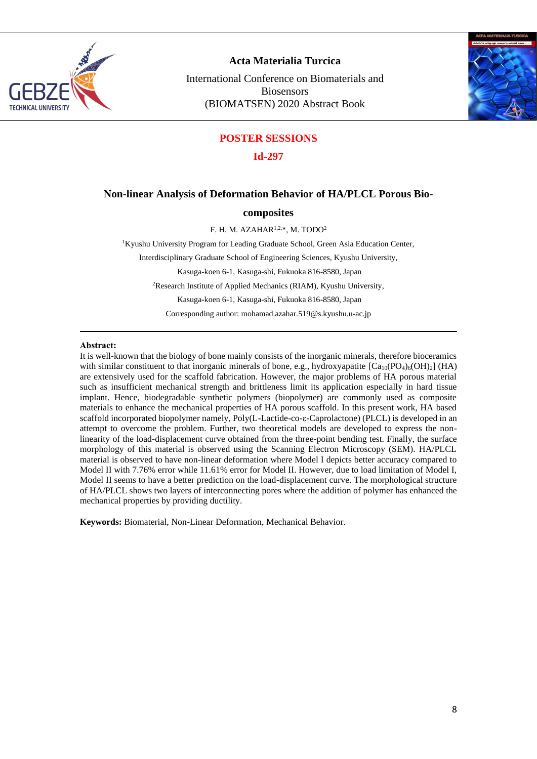

International Conference on Biomaterials and **Biosensors** (BIOMATSEN) 2020 Abstract Book



#### **POSTER SESSIONS**

**Id-297**

#### **Non-linear Analysis of Deformation Behavior of HA/PLCL Porous Bio-**

#### **composites**

F. H. M. AZAHAR<sup>1,2,\*</sup>, M. TODO<sup>2</sup>

<sup>1</sup>Kyushu University Program for Leading Graduate School, Green Asia Education Center,

Interdisciplinary Graduate School of Engineering Sciences, Kyushu University,

Kasuga-koen 6-1, Kasuga-shi, Fukuoka 816-8580, Japan

<sup>2</sup>Research Institute of Applied Mechanics (RIAM), Kyushu University,

Kasuga-koen 6-1, Kasuga-shi, Fukuoka 816-8580, Japan

Corresponding author: mohamad.azahar.519@s.kyushu.u-ac.jp

#### **Abstract:**

It is well-known that the biology of bone mainly consists of the inorganic minerals, therefore bioceramics with similar constituent to that inorganic minerals of bone, e.g., hydroxyapatite  $[Ca_{10}(PO_4)_6(OH)_2]$  (HA) are extensively used for the scaffold fabrication. However, the major problems of HA porous material such as insufficient mechanical strength and brittleness limit its application especially in hard tissue implant. Hence, biodegradable synthetic polymers (biopolymer) are commonly used as composite materials to enhance the mechanical properties of HA porous scaffold. In this present work, HA based scaffold incorporated biopolymer namely, Poly(L-Lactide-co-ε-Caprolactone) (PLCL) is developed in an attempt to overcome the problem. Further, two theoretical models are developed to express the nonlinearity of the load-displacement curve obtained from the three-point bending test. Finally, the surface morphology of this material is observed using the Scanning Electron Microscopy (SEM). HA/PLCL material is observed to have non-linear deformation where Model I depicts better accuracy compared to Model II with 7.76% error while 11.61% error for Model II. However, due to load limitation of Model I, Model II seems to have a better prediction on the load-displacement curve. The morphological structure of HA/PLCL shows two layers of interconnecting pores where the addition of polymer has enhanced the mechanical properties by providing ductility.

**Keywords:** Biomaterial, Non-Linear Deformation, Mechanical Behavior.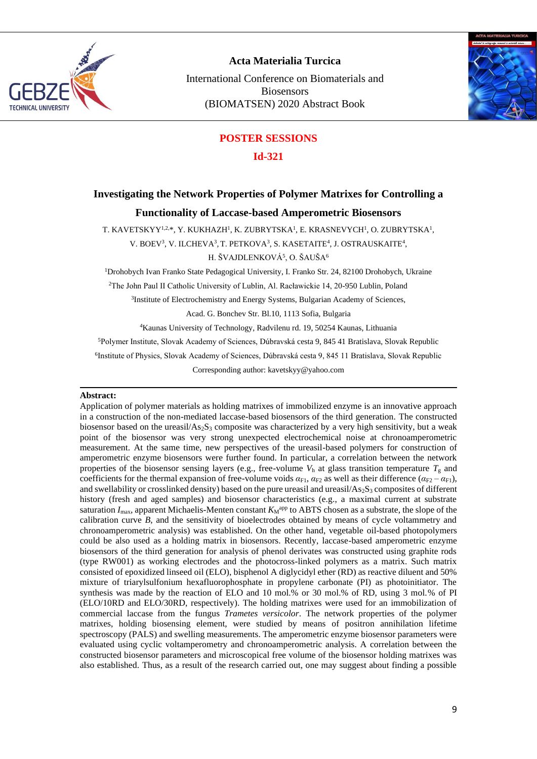

International Conference on Biomaterials and **Biosensors** (BIOMATSEN) 2020 Abstract Book



#### **POSTER SESSIONS**

#### **Id-321**

#### **Investigating the Network Properties of Polymer Matrixes for Controlling a**

#### **Functionality of Laccase-based Amperometric Biosensors**

T. KAVETSKYY<sup>1,2,\*</sup>, Y. KUKHAZH<sup>1</sup>, K. ZUBRYTSKA<sup>1</sup>, E. KRASNEVYCH<sup>1</sup>, O. ZUBRYTSKA<sup>1</sup>, V. BOEV<sup>3</sup>, V. ILCHEVA<sup>3</sup>, T. PETKOVA<sup>3</sup>, S. KASETAITE<sup>4</sup>, J. OSTRAUSKAITE<sup>4</sup>, H. ŠVAJDLENKOVÁ<sup>5</sup>, O. ŠAUŠA<sup>6</sup>

<sup>1</sup>Drohobych Ivan Franko State Pedagogical University, I. Franko Str. 24, 82100 Drohobych, Ukraine

<sup>2</sup>The John Paul II Catholic University of Lublin, Al. Racławickie 14, 20-950 Lublin, Poland

<sup>3</sup>Institute of Electrochemistry and Energy Systems, Bulgarian Academy of Sciences,

Acad. G. Bonchev Str. Bl.10, 1113 Sofia, Bulgaria

<sup>4</sup>Kaunas University of Technology, Radvilenu rd. 19, 50254 Kaunas, Lithuania

<sup>5</sup>Polymer Institute, Slovak Academy of Sciences, Dúbravská cesta 9, 845 41 Bratislava, Slovak Republic

6 Institute of Physics, Slovak Academy of Sciences, Dúbravská cesta 9, 845 11 Bratislava, Slovak Republic

Corresponding author: kavetskyy@yahoo.com

#### **Abstract:**

Application of polymer materials as holding matrixes of immobilized enzyme is an innovative approach in a construction of the non-mediated laccase-based biosensors of the third generation. The constructed biosensor based on the ureasil/As<sub>2</sub>S<sub>3</sub> composite was characterized by a very high sensitivity, but a weak point of the biosensor was very strong unexpected electrochemical noise at chronoamperometric measurement. At the same time, new perspectives of the ureasil-based polymers for construction of amperometric enzyme biosensors were further found. In particular, a correlation between the network properties of the biosensor sensing layers (e.g., free-volume  $V<sub>h</sub>$  at glass transition temperature  $T<sub>g</sub>$  and coefficients for the thermal expansion of free-volume voids  $\alpha_{\text{FI}}$ ,  $\alpha_{\text{F2}}$  as well as their difference ( $\alpha_{\text{F2}} - \alpha_{\text{FI}}$ ), and swellability or crosslinked density) based on the pure ureasil and ureasil/As<sub>2</sub>S<sub>3</sub> composites of different history (fresh and aged samples) and biosensor characteristics (e.g., a maximal current at substrate saturation *I*<sub>max</sub>, apparent Michaelis-Menten constant  $K_M$ <sup>app</sup> to ABTS chosen as a substrate, the slope of the calibration curve *B*, and the sensitivity of bioelectrodes obtained by means of cycle voltammetry and chronoamperometric analysis) was established. On the other hand, vegetable oil-based photopolymers could be also used as a holding matrix in biosensors. Recently, laccase-based amperometric enzyme biosensors of the third generation for analysis of phenol derivates was constructed using graphite rods (type RW001) as working electrodes and the photocross-linked polymers as a matrix. Such matrix consisted of epoxidized linseed oil (ELO), bisphenol A diglycidyl ether (RD) as reactive diluent and 50% mixture of triarylsulfonium hexafluorophosphate in propylene carbonate (PI) as photoinitiator. The synthesis was made by the reaction of ELO and 10 mol.% or 30 mol.% of RD, using 3 mol.% of PI (ELO/10RD and ELO/30RD, respectively). The holding matrixes were used for an immobilization of commercial laccase from the fungus *Trametes versicolor*. The network properties of the polymer matrixes, holding biosensing element, were studied by means of positron annihilation lifetime spectroscopy (PALS) and swelling measurements. The amperometric enzyme biosensor parameters were evaluated using cyclic voltamperometry and chronoamperometric analysis. A correlation between the constructed biosensor parameters and microscopical free volume of the biosensor holding matrixes was also established. Thus, as a result of the research carried out, one may suggest about finding a possible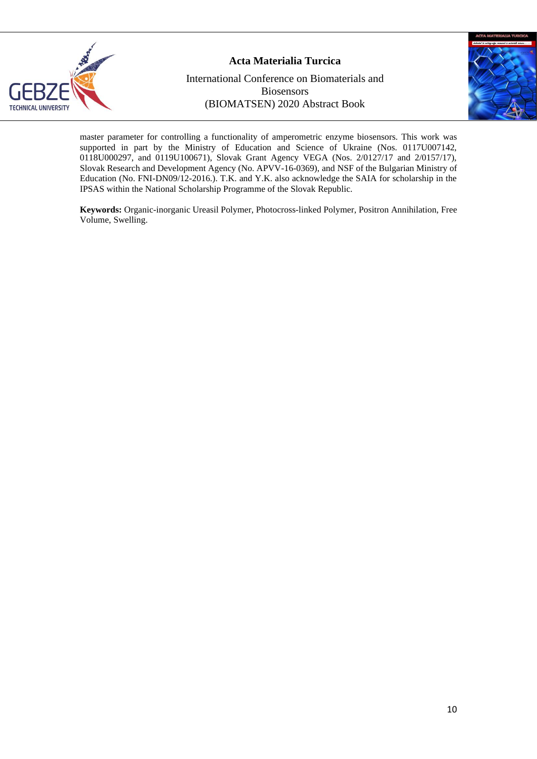

International Conference on Biomaterials and **Biosensors** (BIOMATSEN) 2020 Abstract Book



master parameter for controlling a functionality of amperometric enzyme biosensors. This work was supported in part by the Ministry of Education and Science of Ukraine (Nos. 0117U007142, 0118U000297, and 0119U100671), Slovak Grant Agency VEGA (Nos. 2/0127/17 and 2/0157/17), Slovak Research and Development Agency (No. APVV-16-0369), and NSF of the Bulgarian Ministry of Education (No. FNI-DN09/12-2016.). T.K. and Y.K. also acknowledge the SAIA for scholarship in the IPSAS within the National Scholarship Programme of the Slovak Republic.

**Keywords:** Organic-inorganic Ureasil Polymer, Photocross-linked Polymer, Positron Annihilation, Free Volume, Swelling.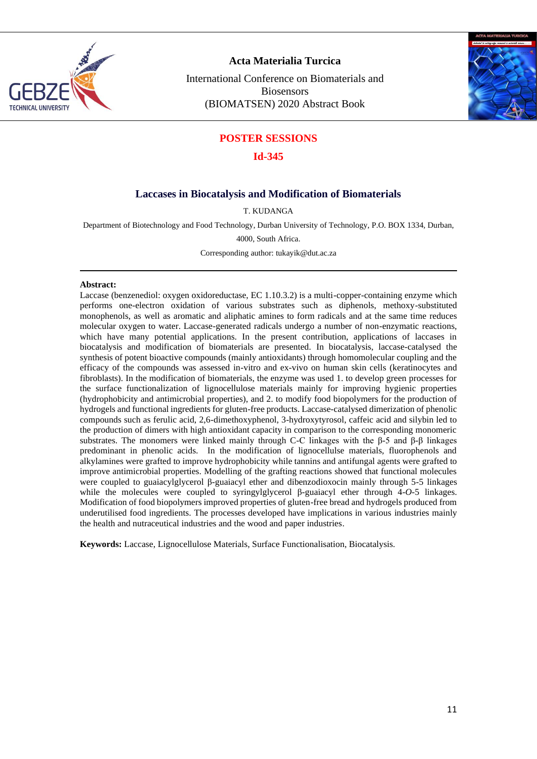

International Conference on Biomaterials and **Biosensors** (BIOMATSEN) 2020 Abstract Book



#### **POSTER SESSIONS**

#### **Id-345**

#### **Laccases in Biocatalysis and Modification of Biomaterials**

T. KUDANGA

Department of Biotechnology and Food Technology, Durban University of Technology, P.O. BOX 1334, Durban,

4000, South Africa.

Corresponding author: tukayik@dut.ac.za

#### **Abstract:**

Laccase (benzenediol: oxygen oxidoreductase, EC 1.10.3.2) is a multi-copper-containing enzyme which performs one-electron oxidation of various substrates such as diphenols, methoxy-substituted monophenols, as well as aromatic and aliphatic amines to form radicals and at the same time reduces molecular oxygen to water. Laccase-generated radicals undergo a number of non-enzymatic reactions, which have many potential applications. In the present contribution, applications of laccases in biocatalysis and modification of biomaterials are presented. In biocatalysis, laccase-catalysed the synthesis of potent bioactive compounds (mainly antioxidants) through homomolecular coupling and the efficacy of the compounds was assessed in-vitro and ex-vivo on human skin cells (keratinocytes and fibroblasts). In the modification of biomaterials, the enzyme was used 1. to develop green processes for the surface functionalization of lignocellulose materials mainly for improving hygienic properties (hydrophobicity and antimicrobial properties), and 2. to modify food biopolymers for the production of hydrogels and functional ingredients for gluten-free products. Laccase-catalysed dimerization of phenolic compounds such as ferulic acid, 2,6-dimethoxyphenol, 3-hydroxytyrosol, caffeic acid and silybin led to the production of dimers with high antioxidant capacity in comparison to the corresponding monomeric substrates. The monomers were linked mainly through C-C linkages with the β-5 and β-β linkages predominant in phenolic acids. In the modification of lignocellulse materials, fluorophenols and alkylamines were grafted to improve hydrophobicity while tannins and antifungal agents were grafted to improve antimicrobial properties. Modelling of the grafting reactions showed that functional molecules were coupled to guaiacylglycerol β-guaiacyl ether and dibenzodioxocin mainly through 5-5 linkages while the molecules were coupled to syringylglycerol β-guaiacyl ether through 4-*O*-5 linkages. Modification of food biopolymers improved properties of gluten-free bread and hydrogels produced from underutilised food ingredients. The processes developed have implications in various industries mainly the health and nutraceutical industries and the wood and paper industries.

**Keywords:** Laccase, Lignocellulose Materials, Surface Functionalisation, Biocatalysis.